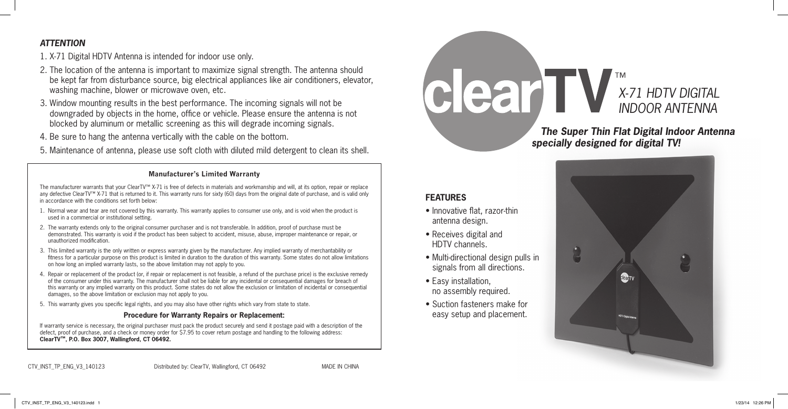## *ATTENTION*

1. X-71 Digital HDTV Antenna is intended for indoor use only.

- 2. The location of the antenna is important to maximize signal strength. The antenna should be kept far from disturbance source, big electrical appliances like air conditioners, elevator, washing machine, blower or microwave oven, etc.
- 3. Window mounting results in the best performance. The incoming signals will not be downgraded by objects in the home, office or vehicle. Please ensure the antenna is not blocked by aluminum or metallic screening as this will degrade incoming signals.
- 4. Be sure to hang the antenna vertically with the cable on the bottom.
- 5. Maintenance of antenna, please use soft cloth with diluted mild detergent to clean its shell.

#### **Manufacturer's Limited Warranty**

The manufacturer warrants that your ClearTV™ X-71 is free of defects in materials and workmanship and will, at its option, repair or replace any defective ClearTV™ X-71 that is returned to it. This warranty runs for sixty (60) days from the original date of purchase, and is valid only in accordance with the conditions set forth below:

- 1. Normal wear and tear are not covered by this warranty. This warranty applies to consumer use only, and is void when the product is used in a commercial or institutional setting.
- 2. The warranty extends only to the original consumer purchaser and is not transferable. In addition, proof of purchase must be demonstrated. This warranty is void if the product has been subject to accident, misuse, abuse, improper maintenance or repair, or unauthorized modification.
- 3. This limited warranty is the only written or express warranty given by the manufacturer. Any implied warranty of merchantability or fitness for a particular purpose on this product is limited in duration to the duration of this warranty. Some states do not allow limitations on how long an implied warranty lasts, so the above limitation may not apply to you.
- 4. Repair or replacement of the product (or, if repair or replacement is not feasible, a refund of the purchase price) is the exclusive remedy of the consumer under this warranty. The manufacturer shall not be liable for any incidental or consequential damages for breach of this warranty or any implied warranty on this product. Some states do not allow the exclusion or limitation of incidental or consequential damages, so the above limitation or exclusion may not apply to you.
- 5. This warranty gives you specific legal rights, and you may also have other rights which vary from state to state.

#### **Procedure for Warranty Repairs or Replacement:**

If warranty service is necessary, the original purchaser must pack the product securely and send it postage paid with a description of the defect, proof of purchase, and a check or money order for \$7.95 to cover return postage and handling to the following address: **ClearTV™, P.O. Box 3007, Wallingford, CT 06492.**

| CTV_INST_TP_ENG_V3_140123 | Distributed by: ClearTV, Wallingford, CT 06492 | <b>MADE IN CHINA</b> |
|---------------------------|------------------------------------------------|----------------------|
|---------------------------|------------------------------------------------|----------------------|

# **CECAMINA ANTENNA** *INDOOR ANTENNA*

 *The Super Thin Flat Digital Indoor Antenna specially designed for digital TV!*

## **FEATURES**

- Innovative flat, razor-thin antenna design.
- Receives digital and HDTV channels.
- Multi-directional design pulls in signals from all directions.
- Easy installation, no assembly required.
- Suction fasteners make for easy setup and placement.

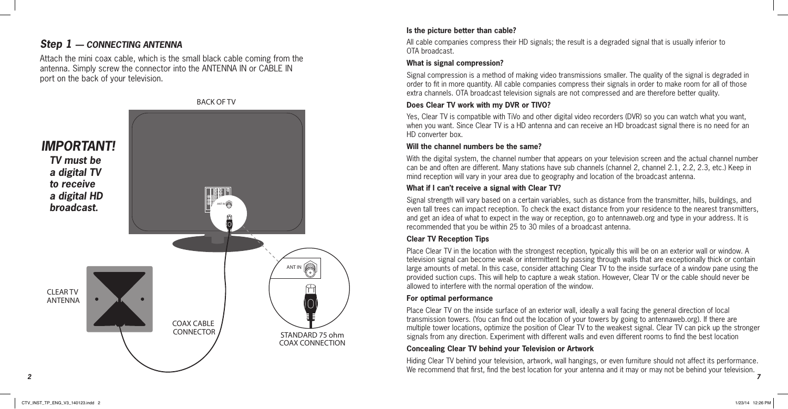# *Step 1 — CONNECTING ANTENNA*

Attach the mini coax cable, which is the small black cable coming from the antenna. Simply screw the connector into the ANTENNA IN or CABLE IN port on the back of your television.



#### **Is the picture better than cable?**

All cable companies compress their HD signals; the result is a degraded signal that is usually inferior to OTA broadcast.

#### **What is signal compression?**

Signal compression is a method of making video transmissions smaller. The quality of the signal is degraded in order to fit in more quantity. All cable companies compress their signals in order to make room for all of those extra channels. OTA broadcast television signals are not compressed and are therefore better quality.

## **Does Clear TV work with my DVR or TIVO?**

Yes, Clear TV is compatible with TiVo and other digital video recorders (DVR) so you can watch what you want, when you want. Since Clear TV is a HD antenna and can receive an HD broadcast signal there is no need for an HD converter box.

## **Will the channel numbers be the same?**

With the digital system, the channel number that appears on your television screen and the actual channel number can be and often are different. Many stations have sub channels (channel 2, channel 2.1, 2.2, 2.3, etc.) Keep in mind reception will vary in your area due to geography and location of the broadcast antenna.

## **What if I can't receive a signal with Clear TV?**

Signal strength will vary based on a certain variables, such as distance from the transmitter, hills, buildings, and even tall trees can impact reception. To check the exact distance from your residence to the nearest transmitters, and get an idea of what to expect in the way or reception, go to antennaweb.org and type in your address. It is recommended that you be within 25 to 30 miles of a broadcast antenna.

## **Clear TV Reception Tips**

Place Clear TV in the location with the strongest reception, typically this will be on an exterior wall or window. A television signal can become weak or intermittent by passing through walls that are exceptionally thick or contain large amounts of metal. In this case, consider attaching Clear TV to the inside surface of a window pane using the provided suction cups. This will help to capture a weak station. However, Clear TV or the cable should never be allowed to interfere with the normal operation of the window.

## **For optimal performance**

Place Clear TV on the inside surface of an exterior wall, ideally a wall facing the general direction of local transmission towers. (You can find out the location of your towers by going to antennaweb.org). If there are multiple tower locations, optimize the position of Clear TV to the weakest signal. Clear TV can pick up the stronger signals from any direction. Experiment with different walls and even different rooms to find the best location

## **Concealing Clear TV behind your Television or Artwork**

Hiding Clear TV behind your television, artwork, wall hangings, or even furniture should not affect its performance. We recommend that first, find the best location for your antenna and it may or may not be behind your television.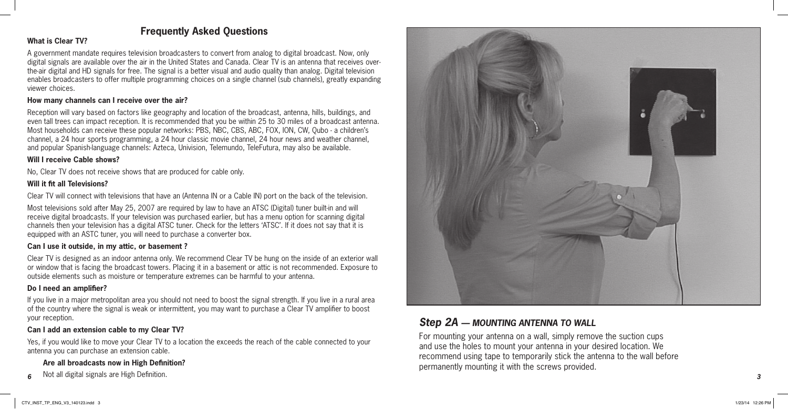## **Frequently Asked Questions**

## **What is Clear TV?**

A government mandate requires television broadcasters to convert from analog to digital broadcast. Now, only digital signals are available over the air in the United States and Canada. Clear TV is an antenna that receives overthe-air digital and HD signals for free. The signal is a better visual and audio quality than analog. Digital television enables broadcasters to offer multiple programming choices on a single channel (sub channels), greatly expanding viewer choices.

## **How many channels can I receive over the air?**

Reception will vary based on factors like geography and location of the broadcast, antenna, hills, buildings, and even tall trees can impact reception. It is recommended that you be within 25 to 30 miles of a broadcast antenna. Most households can receive these popular networks: PBS, NBC, CBS, ABC, FOX, ION, CW, Qubo - a children's channel, a 24 hour sports programming, a 24 hour classic movie channel, 24 hour news and weather channel, and popular Spanish-language channels: Azteca, Univision, Telemundo, TeleFutura, may also be available.

## **Will I receive Cable shows?**

No, Clear TV does not receive shows that are produced for cable only.

## **Will it fit all Televisions?**

Clear TV will connect with televisions that have an (Antenna IN or a Cable IN) port on the back of the television.

Most televisions sold after May 25, 2007 are required by law to have an ATSC (Digital) tuner built-in and will receive digital broadcasts. If your television was purchased earlier, but has a menu option for scanning digital channels then your television has a digital ATSC tuner. Check for the letters 'ATSC'. If it does not say that it is equipped with an ASTC tuner, you will need to purchase a converter box.

## **Can I use it outside, in my attic, or basement ?**

Clear TV is designed as an indoor antenna only. We recommend Clear TV be hung on the inside of an exterior wall or window that is facing the broadcast towers. Placing it in a basement or attic is not recommended. Exposure to outside elements such as moisture or temperature extremes can be harmful to your antenna.

## **Do I need an amplifier?**

If you live in a major metropolitan area you should not need to boost the signal strength. If you live in a rural area of the country where the signal is weak or intermittent, you may want to purchase a Clear TV amplifier to boost your reception.

## **Can I add an extension cable to my Clear TV?**

Yes, if you would like to move your Clear TV to a location the exceeds the reach of the cable connected to your antenna you can purchase an extension cable.

## **Are all broadcasts now in High Definition?**

Not all digital signals are High Definition.  $6$  and digital signals are might belimition.  $3$ 



# *Step 2A — MOUNTING ANTENNA TO WALL*

For mounting your antenna on a wall, simply remove the suction cups and use the holes to mount your antenna in your desired location. We recommend using tape to temporarily stick the antenna to the wall before permanently mounting it with the screws provided.